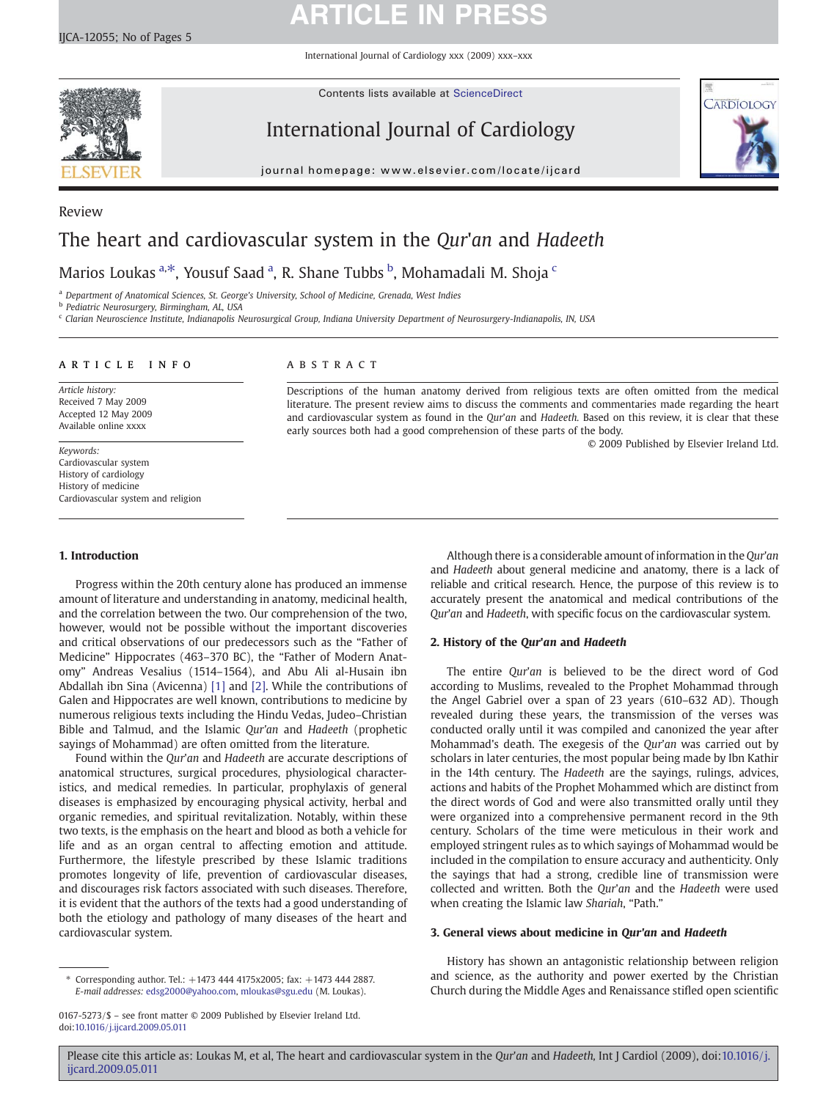International Journal of Cardiology xxx (2009) xxx–xxx



Review

Contents lists available at [ScienceDirect](http://www.sciencedirect.com/science/journal/01675273)

### International Journal of Cardiology



journal homepage: www.elsevier.com/locate/ijcard

### The heart and cardiovascular system in the Qur'an and Hadeeth

Marios Loukas <sup>a,\*</sup>, Yousuf Saad <sup>a</sup>, R. Shane Tubbs <sup>b</sup>, Mohamadali M. Shoja <sup>c</sup>

<sup>a</sup> Department of Anatomical Sciences, St. George's University, School of Medicine, Grenada, West Indies

**b** Pediatric Neurosurgery, Birmingham, AL, USA

<sup>c</sup> Clarian Neuroscience Institute, Indianapolis Neurosurgical Group, Indiana University Department of Neurosurgery-Indianapolis, IN, USA

### ARTICLE INFO ABSTRACT

Article history: Received 7 May 2009 Accepted 12 May 2009 Available online xxxx

#### Keywords:

Cardiovascular system History of cardiology History of medicine Cardiovascular system and religion

#### 1. Introduction

Progress within the 20th century alone has produced an immense amount of literature and understanding in anatomy, medicinal health, and the correlation between the two. Our comprehension of the two, however, would not be possible without the important discoveries and critical observations of our predecessors such as the "Father of Medicine" Hippocrates (463–370 BC), the "Father of Modern Anatomy" Andreas Vesalius (1514–1564), and Abu Ali al-Husain ibn Abdallah ibn Sina (Avicenna) [\[1\]](#page-4-0) and [\[2\].](#page-4-0) While the contributions of Galen and Hippocrates are well known, contributions to medicine by numerous religious texts including the Hindu Vedas, Judeo–Christian Bible and Talmud, and the Islamic Qur'an and Hadeeth (prophetic sayings of Mohammad) are often omitted from the literature.

Found within the Qur'an and Hadeeth are accurate descriptions of anatomical structures, surgical procedures, physiological characteristics, and medical remedies. In particular, prophylaxis of general diseases is emphasized by encouraging physical activity, herbal and organic remedies, and spiritual revitalization. Notably, within these two texts, is the emphasis on the heart and blood as both a vehicle for life and as an organ central to affecting emotion and attitude. Furthermore, the lifestyle prescribed by these Islamic traditions promotes longevity of life, prevention of cardiovascular diseases, and discourages risk factors associated with such diseases. Therefore, it is evident that the authors of the texts had a good understanding of both the etiology and pathology of many diseases of the heart and cardiovascular system.

Descriptions of the human anatomy derived from religious texts are often omitted from the medical literature. The present review aims to discuss the comments and commentaries made regarding the heart and cardiovascular system as found in the Qur'an and Hadeeth. Based on this review, it is clear that these early sources both had a good comprehension of these parts of the body.

© 2009 Published by Elsevier Ireland Ltd.

Although there is a considerable amount of information in the Qur'an and Hadeeth about general medicine and anatomy, there is a lack of reliable and critical research. Hence, the purpose of this review is to accurately present the anatomical and medical contributions of the Qur'an and Hadeeth, with specific focus on the cardiovascular system.

### 2. History of the Qur'an and Hadeeth

The entire Qur'an is believed to be the direct word of God according to Muslims, revealed to the Prophet Mohammad through the Angel Gabriel over a span of 23 years (610–632 AD). Though revealed during these years, the transmission of the verses was conducted orally until it was compiled and canonized the year after Mohammad's death. The exegesis of the Qur'an was carried out by scholars in later centuries, the most popular being made by Ibn Kathir in the 14th century. The Hadeeth are the sayings, rulings, advices, actions and habits of the Prophet Mohammed which are distinct from the direct words of God and were also transmitted orally until they were organized into a comprehensive permanent record in the 9th century. Scholars of the time were meticulous in their work and employed stringent rules as to which sayings of Mohammad would be included in the compilation to ensure accuracy and authenticity. Only the sayings that had a strong, credible line of transmission were collected and written. Both the Qur'an and the Hadeeth were used when creating the Islamic law Shariah, "Path."

### 3. General views about medicine in Qur'an and Hadeeth

History has shown an antagonistic relationship between religion and science, as the authority and power exerted by the Christian Church during the Middle Ages and Renaissance stifled open scientific

Please cite this article as: Loukas M, et al, The heart and cardiovascular system in the *Our'an* and Hadeeth, Int J Cardiol (2009), doi:10.1016/i. [ijcard.2009.05.011](http://dx.doi.org/10.1016/j.ijcard.2009.05.011)

<sup>⁎</sup> Corresponding author. Tel.: +1473 444 4175x2005; fax: +1473 444 2887. E-mail addresses: [edsg2000@yahoo.com](mailto:edsg2000@yahoo.com), [mloukas@sgu.edu](mailto:mloukas@sgu.edu) (M. Loukas).

<sup>0167-5273/\$</sup> – see front matter © 2009 Published by Elsevier Ireland Ltd. doi:[10.1016/j.ijcard.2009.05.011](http://dx.doi.org/10.1016/j.ijcard.2009.05.011)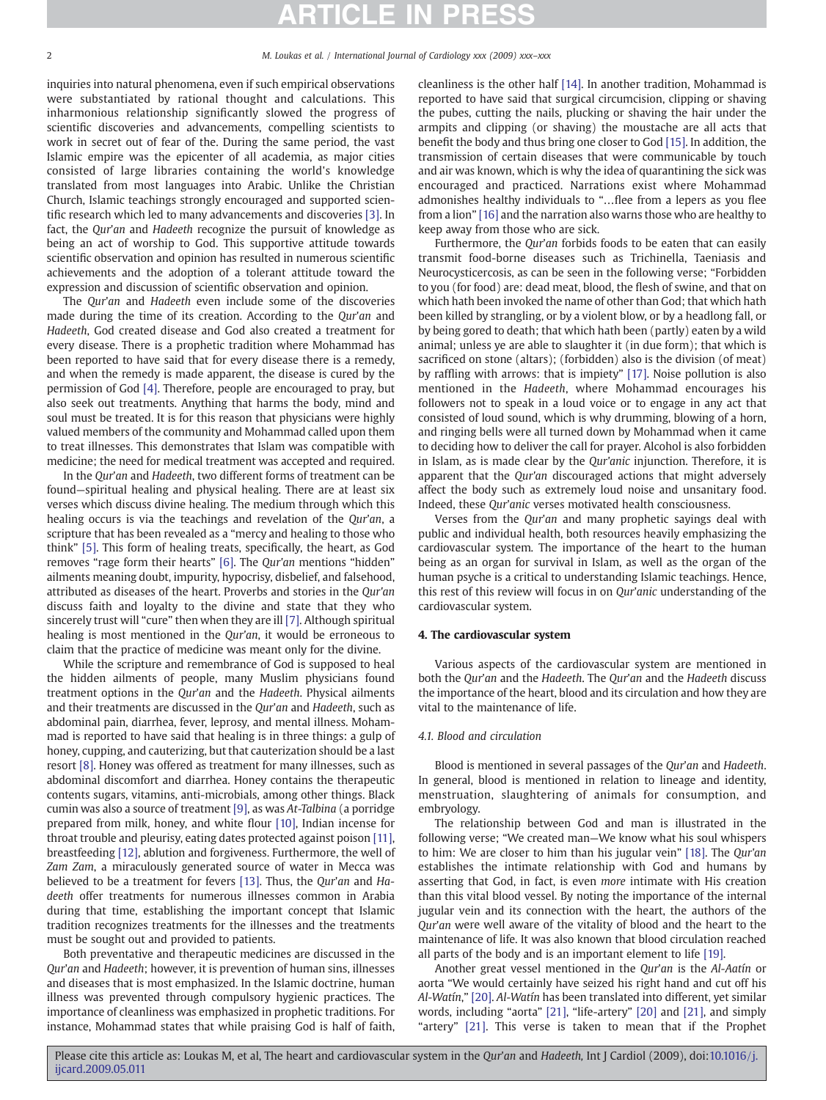inquiries into natural phenomena, even if such empirical observations were substantiated by rational thought and calculations. This inharmonious relationship significantly slowed the progress of scientific discoveries and advancements, compelling scientists to work in secret out of fear of the. During the same period, the vast Islamic empire was the epicenter of all academia, as major cities consisted of large libraries containing the world's knowledge translated from most languages into Arabic. Unlike the Christian Church, Islamic teachings strongly encouraged and supported scientific research which led to many advancements and discoveries [\[3\].](#page-4-0) In fact, the Qur'an and Hadeeth recognize the pursuit of knowledge as being an act of worship to God. This supportive attitude towards scientific observation and opinion has resulted in numerous scientific achievements and the adoption of a tolerant attitude toward the expression and discussion of scientific observation and opinion.

The Qur'an and Hadeeth even include some of the discoveries made during the time of its creation. According to the Qur'an and Hadeeth, God created disease and God also created a treatment for every disease. There is a prophetic tradition where Mohammad has been reported to have said that for every disease there is a remedy, and when the remedy is made apparent, the disease is cured by the permission of God [\[4\]](#page-4-0). Therefore, people are encouraged to pray, but also seek out treatments. Anything that harms the body, mind and soul must be treated. It is for this reason that physicians were highly valued members of the community and Mohammad called upon them to treat illnesses. This demonstrates that Islam was compatible with medicine; the need for medical treatment was accepted and required.

In the Qur'an and Hadeeth, two different forms of treatment can be found—spiritual healing and physical healing. There are at least six verses which discuss divine healing. The medium through which this healing occurs is via the teachings and revelation of the Qur'an, a scripture that has been revealed as a "mercy and healing to those who think" [\[5\]](#page-4-0). This form of healing treats, specifically, the heart, as God removes "rage form their hearts" [\[6\]](#page-4-0). The Qur'an mentions "hidden" ailments meaning doubt, impurity, hypocrisy, disbelief, and falsehood, attributed as diseases of the heart. Proverbs and stories in the Qur'an discuss faith and loyalty to the divine and state that they who sincerely trust will "cure" then when they are ill [\[7\].](#page-4-0) Although spiritual healing is most mentioned in the Qur'an, it would be erroneous to claim that the practice of medicine was meant only for the divine.

While the scripture and remembrance of God is supposed to heal the hidden ailments of people, many Muslim physicians found treatment options in the Qur'an and the Hadeeth. Physical ailments and their treatments are discussed in the Qur'an and Hadeeth, such as abdominal pain, diarrhea, fever, leprosy, and mental illness. Mohammad is reported to have said that healing is in three things: a gulp of honey, cupping, and cauterizing, but that cauterization should be a last resort [\[8\]](#page-4-0). Honey was offered as treatment for many illnesses, such as abdominal discomfort and diarrhea. Honey contains the therapeutic contents sugars, vitamins, anti-microbials, among other things. Black cumin was also a source of treatment [\[9\]](#page-4-0), as was At-Talbina (a porridge prepared from milk, honey, and white flour [\[10\]](#page-4-0), Indian incense for throat trouble and pleurisy, eating dates protected against poison [\[11\],](#page-4-0) breastfeeding [\[12\]](#page-4-0), ablution and forgiveness. Furthermore, the well of Zam Zam, a miraculously generated source of water in Mecca was believed to be a treatment for fevers [\[13\]](#page-4-0). Thus, the Qur'an and Hadeeth offer treatments for numerous illnesses common in Arabia during that time, establishing the important concept that Islamic tradition recognizes treatments for the illnesses and the treatments must be sought out and provided to patients.

Both preventative and therapeutic medicines are discussed in the Qur'an and Hadeeth; however, it is prevention of human sins, illnesses and diseases that is most emphasized. In the Islamic doctrine, human illness was prevented through compulsory hygienic practices. The importance of cleanliness was emphasized in prophetic traditions. For instance, Mohammad states that while praising God is half of faith, cleanliness is the other half [\[14\]](#page-4-0). In another tradition, Mohammad is reported to have said that surgical circumcision, clipping or shaving the pubes, cutting the nails, plucking or shaving the hair under the armpits and clipping (or shaving) the moustache are all acts that benefit the body and thus bring one closer to God [\[15\]](#page-4-0). In addition, the transmission of certain diseases that were communicable by touch and air was known, which is why the idea of quarantining the sick was encouraged and practiced. Narrations exist where Mohammad admonishes healthy individuals to "…flee from a lepers as you flee from a lion" [\[16\]](#page-4-0) and the narration also warns those who are healthy to keep away from those who are sick.

Furthermore, the Qur'an forbids foods to be eaten that can easily transmit food-borne diseases such as Trichinella, Taeniasis and Neurocysticercosis, as can be seen in the following verse; "Forbidden to you (for food) are: dead meat, blood, the flesh of swine, and that on which hath been invoked the name of other than God; that which hath been killed by strangling, or by a violent blow, or by a headlong fall, or by being gored to death; that which hath been (partly) eaten by a wild animal; unless ye are able to slaughter it (in due form); that which is sacrificed on stone (altars); (forbidden) also is the division (of meat) by raffling with arrows: that is impiety" [\[17\]](#page-4-0). Noise pollution is also mentioned in the Hadeeth, where Mohammad encourages his followers not to speak in a loud voice or to engage in any act that consisted of loud sound, which is why drumming, blowing of a horn, and ringing bells were all turned down by Mohammad when it came to deciding how to deliver the call for prayer. Alcohol is also forbidden in Islam, as is made clear by the Qur'anic injunction. Therefore, it is apparent that the Qur'an discouraged actions that might adversely affect the body such as extremely loud noise and unsanitary food. Indeed, these Qur'anic verses motivated health consciousness.

Verses from the Qur'an and many prophetic sayings deal with public and individual health, both resources heavily emphasizing the cardiovascular system. The importance of the heart to the human being as an organ for survival in Islam, as well as the organ of the human psyche is a critical to understanding Islamic teachings. Hence, this rest of this review will focus in on Qur'anic understanding of the cardiovascular system.

#### 4. The cardiovascular system

Various aspects of the cardiovascular system are mentioned in both the Qur'an and the Hadeeth. The Qur'an and the Hadeeth discuss the importance of the heart, blood and its circulation and how they are vital to the maintenance of life.

#### 4.1. Blood and circulation

Blood is mentioned in several passages of the Qur'an and Hadeeth. In general, blood is mentioned in relation to lineage and identity, menstruation, slaughtering of animals for consumption, and embryology.

The relationship between God and man is illustrated in the following verse; "We created man—We know what his soul whispers to him: We are closer to him than his jugular vein" [\[18\].](#page-4-0) The Qur'an establishes the intimate relationship with God and humans by asserting that God, in fact, is even more intimate with His creation than this vital blood vessel. By noting the importance of the internal jugular vein and its connection with the heart, the authors of the Qur'an were well aware of the vitality of blood and the heart to the maintenance of life. It was also known that blood circulation reached all parts of the body and is an important element to life [\[19\].](#page-4-0)

Another great vessel mentioned in the Qur'an is the Al-Aatín or aorta "We would certainly have seized his right hand and cut off his Al-Watín," [\[20\].](#page-4-0) Al-Watín has been translated into different, yet similar words, including "aorta" [\[21\]](#page-4-0), "life-artery" [\[20\]](#page-4-0) and [\[21\]](#page-4-0), and simply "artery" [\[21\]](#page-4-0). This verse is taken to mean that if the Prophet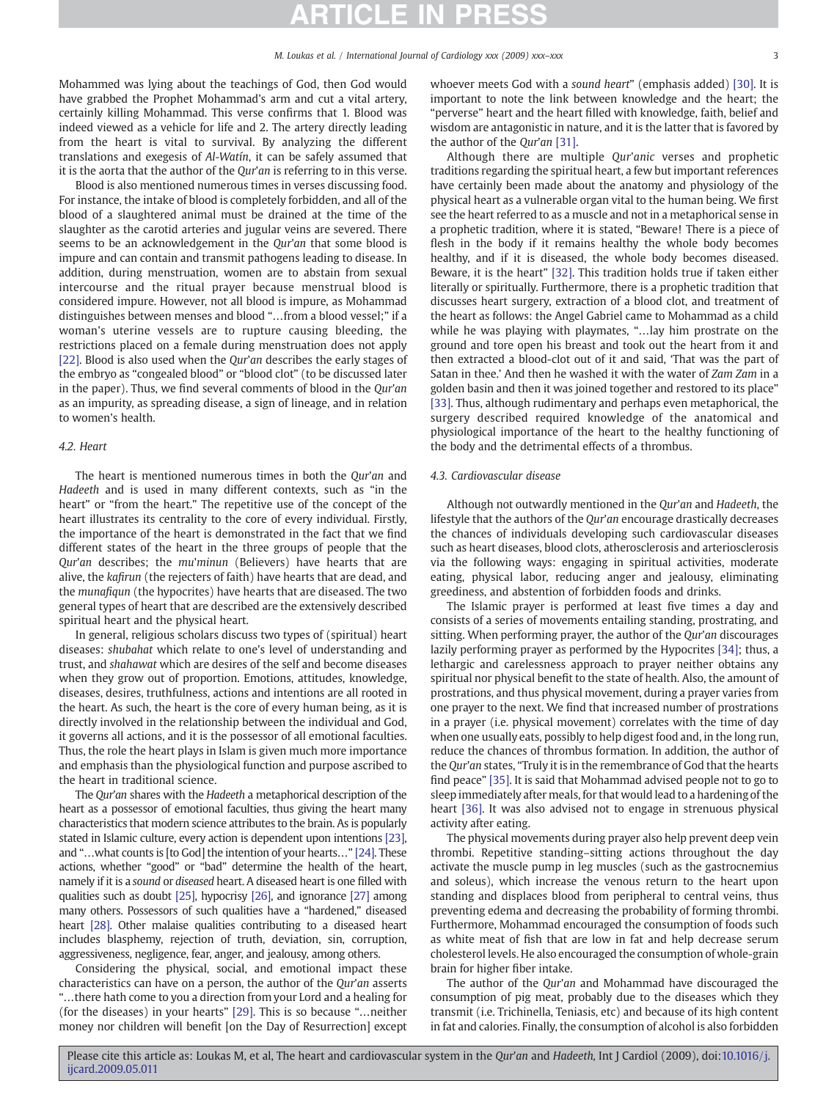Mohammed was lying about the teachings of God, then God would have grabbed the Prophet Mohammad's arm and cut a vital artery, certainly killing Mohammad. This verse confirms that 1. Blood was indeed viewed as a vehicle for life and 2. The artery directly leading from the heart is vital to survival. By analyzing the different translations and exegesis of Al-Watín, it can be safely assumed that it is the aorta that the author of the Qur'an is referring to in this verse.

Blood is also mentioned numerous times in verses discussing food. For instance, the intake of blood is completely forbidden, and all of the blood of a slaughtered animal must be drained at the time of the slaughter as the carotid arteries and jugular veins are severed. There seems to be an acknowledgement in the Qur'an that some blood is impure and can contain and transmit pathogens leading to disease. In addition, during menstruation, women are to abstain from sexual intercourse and the ritual prayer because menstrual blood is considered impure. However, not all blood is impure, as Mohammad distinguishes between menses and blood "…from a blood vessel;" if a woman's uterine vessels are to rupture causing bleeding, the restrictions placed on a female during menstruation does not apply [\[22\]](#page-4-0). Blood is also used when the Qur'an describes the early stages of the embryo as "congealed blood" or "blood clot" (to be discussed later in the paper). Thus, we find several comments of blood in the Qur'an as an impurity, as spreading disease, a sign of lineage, and in relation to women's health.

### 4.2. Heart

The heart is mentioned numerous times in both the Qur'an and Hadeeth and is used in many different contexts, such as "in the heart" or "from the heart." The repetitive use of the concept of the heart illustrates its centrality to the core of every individual. Firstly, the importance of the heart is demonstrated in the fact that we find different states of the heart in the three groups of people that the Qur'an describes; the mu'minun (Believers) have hearts that are alive, the kafirun (the rejecters of faith) have hearts that are dead, and the munafiqun (the hypocrites) have hearts that are diseased. The two general types of heart that are described are the extensively described spiritual heart and the physical heart.

In general, religious scholars discuss two types of (spiritual) heart diseases: shubahat which relate to one's level of understanding and trust, and shahawat which are desires of the self and become diseases when they grow out of proportion. Emotions, attitudes, knowledge, diseases, desires, truthfulness, actions and intentions are all rooted in the heart. As such, the heart is the core of every human being, as it is directly involved in the relationship between the individual and God, it governs all actions, and it is the possessor of all emotional faculties. Thus, the role the heart plays in Islam is given much more importance and emphasis than the physiological function and purpose ascribed to the heart in traditional science.

The Qur'an shares with the Hadeeth a metaphorical description of the heart as a possessor of emotional faculties, thus giving the heart many characteristics that modern science attributes to the brain. As is popularly stated in Islamic culture, every action is dependent upon intentions [\[23\],](#page-4-0) and "…what counts is [to God] the intention of your hearts…" [\[24\].](#page-4-0) These actions, whether "good" or "bad" determine the health of the heart, namely if it is a sound or diseased heart. A diseased heart is one filled with qualities such as doubt [\[25\],](#page-4-0) hypocrisy [\[26\]](#page-4-0), and ignorance [\[27\]](#page-4-0) among many others. Possessors of such qualities have a "hardened," diseased heart [\[28\]](#page-4-0). Other malaise qualities contributing to a diseased heart includes blasphemy, rejection of truth, deviation, sin, corruption, aggressiveness, negligence, fear, anger, and jealousy, among others.

Considering the physical, social, and emotional impact these characteristics can have on a person, the author of the Qur'an asserts "…there hath come to you a direction from your Lord and a healing for (for the diseases) in your hearts" [\[29\]](#page-4-0). This is so because "…neither money nor children will benefit [on the Day of Resurrection] except whoever meets God with a sound heart" (emphasis added) [\[30\].](#page-4-0) It is important to note the link between knowledge and the heart; the "perverse" heart and the heart filled with knowledge, faith, belief and wisdom are antagonistic in nature, and it is the latter that is favored by the author of the Qur'an [\[31\]](#page-4-0).

Although there are multiple Qur'anic verses and prophetic traditions regarding the spiritual heart, a few but important references have certainly been made about the anatomy and physiology of the physical heart as a vulnerable organ vital to the human being. We first see the heart referred to as a muscle and not in a metaphorical sense in a prophetic tradition, where it is stated, "Beware! There is a piece of flesh in the body if it remains healthy the whole body becomes healthy, and if it is diseased, the whole body becomes diseased. Beware, it is the heart" [\[32\].](#page-4-0) This tradition holds true if taken either literally or spiritually. Furthermore, there is a prophetic tradition that discusses heart surgery, extraction of a blood clot, and treatment of the heart as follows: the Angel Gabriel came to Mohammad as a child while he was playing with playmates, "…lay him prostrate on the ground and tore open his breast and took out the heart from it and then extracted a blood-clot out of it and said, 'That was the part of Satan in thee.' And then he washed it with the water of Zam Zam in a golden basin and then it was joined together and restored to its place" [\[33\]](#page-4-0). Thus, although rudimentary and perhaps even metaphorical, the surgery described required knowledge of the anatomical and physiological importance of the heart to the healthy functioning of the body and the detrimental effects of a thrombus.

#### 4.3. Cardiovascular disease

Although not outwardly mentioned in the Qur'an and Hadeeth, the lifestyle that the authors of the Qur'an encourage drastically decreases the chances of individuals developing such cardiovascular diseases such as heart diseases, blood clots, atherosclerosis and arteriosclerosis via the following ways: engaging in spiritual activities, moderate eating, physical labor, reducing anger and jealousy, eliminating greediness, and abstention of forbidden foods and drinks.

The Islamic prayer is performed at least five times a day and consists of a series of movements entailing standing, prostrating, and sitting. When performing prayer, the author of the Qur'an discourages lazily performing prayer as performed by the Hypocrites [\[34\];](#page-4-0) thus, a lethargic and carelessness approach to prayer neither obtains any spiritual nor physical benefit to the state of health. Also, the amount of prostrations, and thus physical movement, during a prayer varies from one prayer to the next. We find that increased number of prostrations in a prayer (i.e. physical movement) correlates with the time of day when one usually eats, possibly to help digest food and, in the long run, reduce the chances of thrombus formation. In addition, the author of the Qur'an states, "Truly it is in the remembrance of God that the hearts find peace" [\[35\]](#page-4-0). It is said that Mohammad advised people not to go to sleep immediately after meals, for that would lead to a hardening of the heart [\[36\].](#page-4-0) It was also advised not to engage in strenuous physical activity after eating.

The physical movements during prayer also help prevent deep vein thrombi. Repetitive standing–sitting actions throughout the day activate the muscle pump in leg muscles (such as the gastrocnemius and soleus), which increase the venous return to the heart upon standing and displaces blood from peripheral to central veins, thus preventing edema and decreasing the probability of forming thrombi. Furthermore, Mohammad encouraged the consumption of foods such as white meat of fish that are low in fat and help decrease serum cholesterol levels. He also encouraged the consumption of whole-grain brain for higher fiber intake.

The author of the Qur'an and Mohammad have discouraged the consumption of pig meat, probably due to the diseases which they transmit (i.e. Trichinella, Teniasis, etc) and because of its high content in fat and calories. Finally, the consumption of alcohol is also forbidden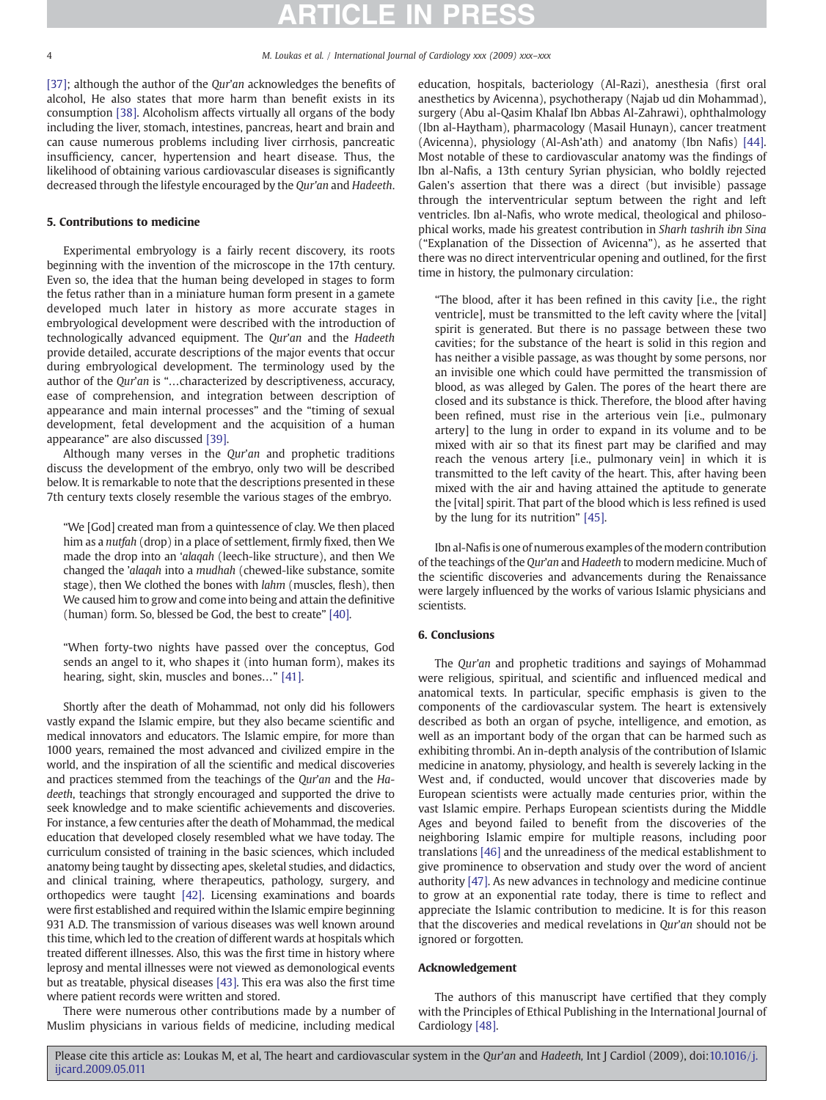[\[37\]](#page-4-0); although the author of the Qur'an acknowledges the benefits of alcohol, He also states that more harm than benefit exists in its consumption [\[38\].](#page-4-0) Alcoholism affects virtually all organs of the body including the liver, stomach, intestines, pancreas, heart and brain and can cause numerous problems including liver cirrhosis, pancreatic insufficiency, cancer, hypertension and heart disease. Thus, the likelihood of obtaining various cardiovascular diseases is significantly decreased through the lifestyle encouraged by the Qur'an and Hadeeth.

### 5. Contributions to medicine

Experimental embryology is a fairly recent discovery, its roots beginning with the invention of the microscope in the 17th century. Even so, the idea that the human being developed in stages to form the fetus rather than in a miniature human form present in a gamete developed much later in history as more accurate stages in embryological development were described with the introduction of technologically advanced equipment. The Qur'an and the Hadeeth provide detailed, accurate descriptions of the major events that occur during embryological development. The terminology used by the author of the Qur'an is "…characterized by descriptiveness, accuracy, ease of comprehension, and integration between description of appearance and main internal processes" and the "timing of sexual development, fetal development and the acquisition of a human appearance" are also discussed [\[39\]](#page-4-0).

Although many verses in the Qur'an and prophetic traditions discuss the development of the embryo, only two will be described below. It is remarkable to note that the descriptions presented in these 7th century texts closely resemble the various stages of the embryo.

"We [God] created man from a quintessence of clay. We then placed him as a nutfah (drop) in a place of settlement, firmly fixed, then We made the drop into an 'alaqah (leech-like structure), and then We changed the 'alaqah into a mudhah (chewed-like substance, somite stage), then We clothed the bones with lahm (muscles, flesh), then We caused him to grow and come into being and attain the definitive (human) form. So, blessed be God, the best to create" [\[40\].](#page-4-0)

"When forty-two nights have passed over the conceptus, God sends an angel to it, who shapes it (into human form), makes its hearing, sight, skin, muscles and bones…" [\[41\]](#page-4-0).

Shortly after the death of Mohammad, not only did his followers vastly expand the Islamic empire, but they also became scientific and medical innovators and educators. The Islamic empire, for more than 1000 years, remained the most advanced and civilized empire in the world, and the inspiration of all the scientific and medical discoveries and practices stemmed from the teachings of the Qur'an and the Hadeeth, teachings that strongly encouraged and supported the drive to seek knowledge and to make scientific achievements and discoveries. For instance, a few centuries after the death of Mohammad, the medical education that developed closely resembled what we have today. The curriculum consisted of training in the basic sciences, which included anatomy being taught by dissecting apes, skeletal studies, and didactics, and clinical training, where therapeutics, pathology, surgery, and orthopedics were taught [\[42\].](#page-4-0) Licensing examinations and boards were first established and required within the Islamic empire beginning 931 A.D. The transmission of various diseases was well known around this time, which led to the creation of different wards at hospitals which treated different illnesses. Also, this was the first time in history where leprosy and mental illnesses were not viewed as demonological events but as treatable, physical diseases [\[43\].](#page-4-0) This era was also the first time where patient records were written and stored.

There were numerous other contributions made by a number of Muslim physicians in various fields of medicine, including medical

education, hospitals, bacteriology (Al-Razi), anesthesia (first oral anesthetics by Avicenna), psychotherapy (Najab ud din Mohammad), surgery (Abu al-Qasim Khalaf Ibn Abbas Al-Zahrawi), ophthalmology (Ibn al-Haytham), pharmacology (Masail Hunayn), cancer treatment (Avicenna), physiology (Al-Ash'ath) and anatomy (Ibn Nafis) [\[44\].](#page-4-0) Most notable of these to cardiovascular anatomy was the findings of Ibn al-Nafis, a 13th century Syrian physician, who boldly rejected Galen's assertion that there was a direct (but invisible) passage through the interventricular septum between the right and left ventricles. Ibn al-Nafis, who wrote medical, theological and philosophical works, made his greatest contribution in Sharh tashrih ibn Sina ("Explanation of the Dissection of Avicenna"), as he asserted that there was no direct interventricular opening and outlined, for the first time in history, the pulmonary circulation:

"The blood, after it has been refined in this cavity [i.e., the right ventricle], must be transmitted to the left cavity where the [vital] spirit is generated. But there is no passage between these two cavities; for the substance of the heart is solid in this region and has neither a visible passage, as was thought by some persons, nor an invisible one which could have permitted the transmission of blood, as was alleged by Galen. The pores of the heart there are closed and its substance is thick. Therefore, the blood after having been refined, must rise in the arterious vein [i.e., pulmonary artery] to the lung in order to expand in its volume and to be mixed with air so that its finest part may be clarified and may reach the venous artery [i.e., pulmonary vein] in which it is transmitted to the left cavity of the heart. This, after having been mixed with the air and having attained the aptitude to generate the [vital] spirit. That part of the blood which is less refined is used by the lung for its nutrition" [\[45\].](#page-4-0)

Ibn al-Nafis is one of numerous examples of the modern contribution of the teachings of the Qur'an and Hadeeth to modern medicine. Much of the scientific discoveries and advancements during the Renaissance were largely influenced by the works of various Islamic physicians and scientists.

### 6. Conclusions

The Qur'an and prophetic traditions and sayings of Mohammad were religious, spiritual, and scientific and influenced medical and anatomical texts. In particular, specific emphasis is given to the components of the cardiovascular system. The heart is extensively described as both an organ of psyche, intelligence, and emotion, as well as an important body of the organ that can be harmed such as exhibiting thrombi. An in-depth analysis of the contribution of Islamic medicine in anatomy, physiology, and health is severely lacking in the West and, if conducted, would uncover that discoveries made by European scientists were actually made centuries prior, within the vast Islamic empire. Perhaps European scientists during the Middle Ages and beyond failed to benefit from the discoveries of the neighboring Islamic empire for multiple reasons, including poor translations [\[46\]](#page-4-0) and the unreadiness of the medical establishment to give prominence to observation and study over the word of ancient authority [\[47\].](#page-4-0) As new advances in technology and medicine continue to grow at an exponential rate today, there is time to reflect and appreciate the Islamic contribution to medicine. It is for this reason that the discoveries and medical revelations in Qur'an should not be ignored or forgotten.

### Acknowledgement

The authors of this manuscript have certified that they comply with the Principles of Ethical Publishing in the International Journal of Cardiology [\[48\].](#page-4-0)